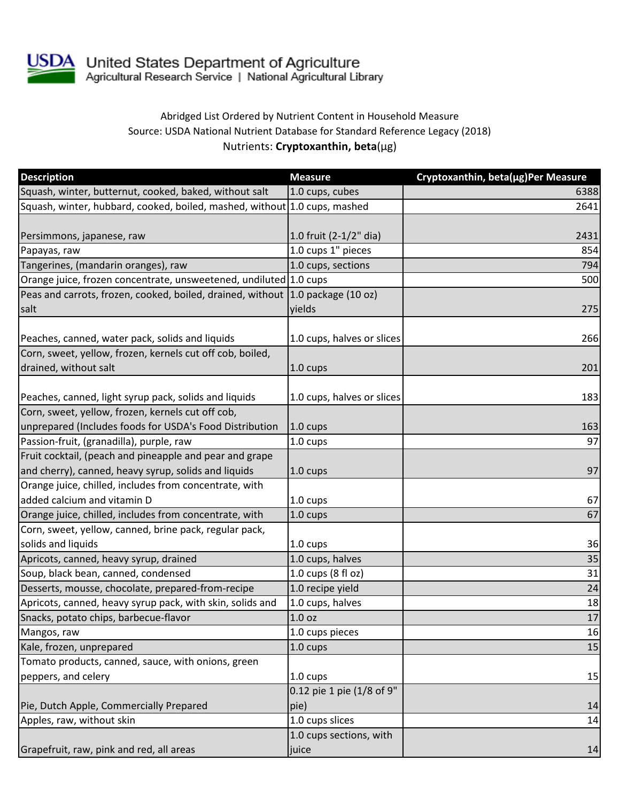

## Abridged List Ordered by Nutrient Content in Household Measure Source: USDA National Nutrient Database for Standard Reference Legacy (2018) Nutrients: **Cryptoxanthin, beta**(µg)

| <b>Description</b>                                                             | <b>Measure</b>             | Cryptoxanthin, beta(µg)Per Measure |
|--------------------------------------------------------------------------------|----------------------------|------------------------------------|
| Squash, winter, butternut, cooked, baked, without salt                         | 1.0 cups, cubes            | 6388                               |
| Squash, winter, hubbard, cooked, boiled, mashed, without 1.0 cups, mashed      |                            | 2641                               |
|                                                                                |                            |                                    |
| Persimmons, japanese, raw                                                      | 1.0 fruit (2-1/2" dia)     | 2431                               |
| Papayas, raw                                                                   | 1.0 cups 1" pieces         | 854                                |
| Tangerines, (mandarin oranges), raw                                            | 1.0 cups, sections         | 794                                |
| Orange juice, frozen concentrate, unsweetened, undiluted 1.0 cups              |                            | 500                                |
| Peas and carrots, frozen, cooked, boiled, drained, without 1.0 package (10 oz) |                            |                                    |
| salt                                                                           | yields                     | 275                                |
| Peaches, canned, water pack, solids and liquids                                | 1.0 cups, halves or slices | 266                                |
| Corn, sweet, yellow, frozen, kernels cut off cob, boiled,                      |                            |                                    |
| drained, without salt                                                          | 1.0 cups                   | 201                                |
| Peaches, canned, light syrup pack, solids and liquids                          | 1.0 cups, halves or slices | 183                                |
| Corn, sweet, yellow, frozen, kernels cut off cob,                              |                            |                                    |
| unprepared (Includes foods for USDA's Food Distribution                        | 1.0 cups                   | 163                                |
| Passion-fruit, (granadilla), purple, raw                                       | 1.0 cups                   | 97                                 |
| Fruit cocktail, (peach and pineapple and pear and grape                        |                            |                                    |
| and cherry), canned, heavy syrup, solids and liquids                           | 1.0 cups                   | 97                                 |
| Orange juice, chilled, includes from concentrate, with                         |                            |                                    |
| added calcium and vitamin D                                                    | 1.0 cups                   | 67                                 |
| Orange juice, chilled, includes from concentrate, with                         | 1.0 cups                   | 67                                 |
| Corn, sweet, yellow, canned, brine pack, regular pack,                         |                            |                                    |
| solids and liquids                                                             | 1.0 cups                   | 36                                 |
| Apricots, canned, heavy syrup, drained                                         | 1.0 cups, halves           | 35                                 |
| Soup, black bean, canned, condensed                                            | 1.0 cups (8 fl oz)         | 31                                 |
| Desserts, mousse, chocolate, prepared-from-recipe                              | 1.0 recipe yield           | 24                                 |
| Apricots, canned, heavy syrup pack, with skin, solids and                      | 1.0 cups, halves           | 18                                 |
| Snacks, potato chips, barbecue-flavor                                          | 1.0 oz                     | 17                                 |
| Mangos, raw                                                                    | 1.0 cups pieces            | 16                                 |
| Kale, frozen, unprepared                                                       | 1.0 cups                   | 15                                 |
| Tomato products, canned, sauce, with onions, green                             |                            |                                    |
| peppers, and celery                                                            | 1.0 cups                   | 15                                 |
|                                                                                | 0.12 pie 1 pie (1/8 of 9"  |                                    |
| Pie, Dutch Apple, Commercially Prepared                                        | pie)                       | 14                                 |
| Apples, raw, without skin                                                      | 1.0 cups slices            | 14                                 |
|                                                                                | 1.0 cups sections, with    |                                    |
| Grapefruit, raw, pink and red, all areas                                       | juice                      | 14                                 |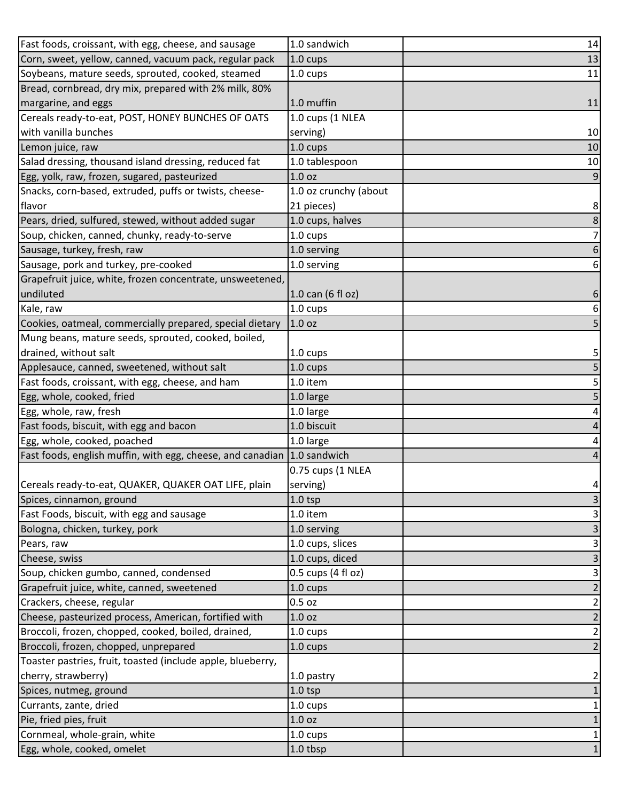| Fast foods, croissant, with egg, cheese, and sausage        | 1.0 sandwich          | 14                        |
|-------------------------------------------------------------|-----------------------|---------------------------|
| Corn, sweet, yellow, canned, vacuum pack, regular pack      | 1.0 cups              | 13                        |
| Soybeans, mature seeds, sprouted, cooked, steamed           | 1.0 cups              | 11                        |
| Bread, cornbread, dry mix, prepared with 2% milk, 80%       |                       |                           |
| margarine, and eggs                                         | 1.0 muffin            | 11                        |
| Cereals ready-to-eat, POST, HONEY BUNCHES OF OATS           | 1.0 cups (1 NLEA      |                           |
| with vanilla bunches                                        | serving)              | 10                        |
| Lemon juice, raw                                            | 1.0 cups              | 10                        |
| Salad dressing, thousand island dressing, reduced fat       | 1.0 tablespoon        | 10                        |
| Egg, yolk, raw, frozen, sugared, pasteurized                | 1.0 <sub>oz</sub>     | 9                         |
| Snacks, corn-based, extruded, puffs or twists, cheese-      | 1.0 oz crunchy (about |                           |
| flavor                                                      | 21 pieces)            | $\bf 8$                   |
| Pears, dried, sulfured, stewed, without added sugar         | 1.0 cups, halves      | $\bf 8$                   |
| Soup, chicken, canned, chunky, ready-to-serve               | 1.0 cups              | $\overline{7}$            |
| Sausage, turkey, fresh, raw                                 | 1.0 serving           | $\boldsymbol{6}$          |
| Sausage, pork and turkey, pre-cooked                        | 1.0 serving           | $6\,$                     |
| Grapefruit juice, white, frozen concentrate, unsweetened,   |                       |                           |
| undiluted                                                   | 1.0 can (6 fl oz)     | 6                         |
| Kale, raw                                                   | $1.0 \text{ cups}$    | $\boldsymbol{6}$          |
| Cookies, oatmeal, commercially prepared, special dietary    | 1.0 <sub>oz</sub>     | 5                         |
| Mung beans, mature seeds, sprouted, cooked, boiled,         |                       |                           |
| drained, without salt                                       | 1.0 cups              | 5                         |
| Applesauce, canned, sweetened, without salt                 | 1.0 cups              | $\overline{5}$            |
| Fast foods, croissant, with egg, cheese, and ham            | 1.0 item              | $\overline{\mathbf{5}}$   |
| Egg, whole, cooked, fried                                   | 1.0 large             | 5                         |
| Egg, whole, raw, fresh                                      | 1.0 large             | 4                         |
| Fast foods, biscuit, with egg and bacon                     | 1.0 biscuit           | $\overline{a}$            |
| Egg, whole, cooked, poached                                 | 1.0 large             | $\overline{\mathbf{r}}$   |
| Fast foods, english muffin, with egg, cheese, and canadian  | 1.0 sandwich          | $\pmb{4}$                 |
|                                                             | 0.75 cups (1 NLEA     |                           |
| Cereals ready-to-eat, QUAKER, QUAKER OAT LIFE, plain        | serving)              | $\vert 4 \vert$           |
| Spices, cinnamon, ground                                    | $1.0$ tsp             | $\mathsf 3$               |
| Fast Foods, biscuit, with egg and sausage                   | 1.0 item              | 3                         |
| Bologna, chicken, turkey, pork                              | 1.0 serving           | $\mathsf{3}$              |
| Pears, raw                                                  | 1.0 cups, slices      | $\mathbf{3}$              |
| Cheese, swiss                                               | 1.0 cups, diced       | $\mathsf{3}$              |
| Soup, chicken gumbo, canned, condensed                      | 0.5 cups (4 fl oz)    | $\ensuremath{\mathsf{3}}$ |
| Grapefruit juice, white, canned, sweetened                  | $1.0 \text{ cups}$    | $\overline{2}$            |
| Crackers, cheese, regular                                   | $0.5$ oz              | $\mathbf{2}$              |
| Cheese, pasteurized process, American, fortified with       | 1.0 oz                | $\overline{\mathbf{c}}$   |
| Broccoli, frozen, chopped, cooked, boiled, drained,         | 1.0 cups              | $\overline{2}$            |
| Broccoli, frozen, chopped, unprepared                       | 1.0 cups              | $\overline{2}$            |
| Toaster pastries, fruit, toasted (include apple, blueberry, |                       |                           |
| cherry, strawberry)                                         | 1.0 pastry            | $\mathbf{2}$              |
| Spices, nutmeg, ground                                      | $1.0$ tsp             | $\mathbf 1$               |
| Currants, zante, dried                                      | 1.0 cups              | $\mathbf{1}$              |
| Pie, fried pies, fruit                                      | 1.0 oz                | $\mathbf 1$               |
| Cornmeal, whole-grain, white                                | 1.0 cups              | $\mathbf{1}$              |
| Egg, whole, cooked, omelet                                  | 1.0 tbsp              | $1\vert$                  |